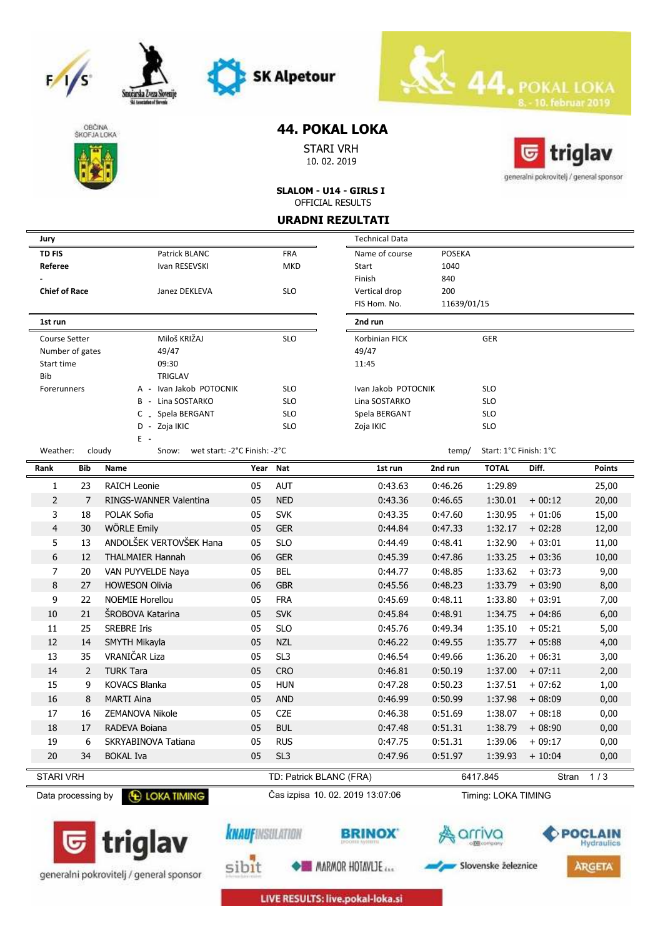







Smożarska Zveza S

# **44. POKAL LOKA**

STARI VRH 10. 02. 2019



**SLALOM - U14 - GIRLS I** OFFICIAL RESULTS

#### **URADNI REZULTATI**

| WUNI NLLULIMII                |     |                                                 |            |                                  |                       |               |                        |          |               |
|-------------------------------|-----|-------------------------------------------------|------------|----------------------------------|-----------------------|---------------|------------------------|----------|---------------|
| Jury                          |     |                                                 |            |                                  | <b>Technical Data</b> |               |                        |          |               |
| <b>TD FIS</b>                 |     | Patrick BLANC                                   |            | <b>FRA</b>                       | Name of course        | <b>POSEKA</b> |                        |          |               |
| Referee                       |     | Ivan RESEVSKI                                   |            | MKD                              | Start                 | 1040          |                        |          |               |
|                               |     |                                                 |            |                                  | Finish                | 840           |                        |          |               |
| <b>Chief of Race</b>          |     | Janez DEKLEVA                                   |            | <b>SLO</b>                       | Vertical drop         | 200           |                        |          |               |
|                               |     |                                                 |            |                                  | FIS Hom. No.          | 11639/01/15   |                        |          |               |
| 1st run                       |     |                                                 |            |                                  | 2nd run               |               |                        |          |               |
| Miloš KRIŽAJ<br>Course Setter |     |                                                 | <b>SLO</b> | Korbinian FICK                   |                       | <b>GER</b>    |                        |          |               |
| Number of gates               |     | 49/47                                           |            |                                  | 49/47                 |               |                        |          |               |
| Start time                    |     | 09:30                                           |            |                                  | 11:45                 |               |                        |          |               |
| Bib                           |     | TRIGLAV                                         |            |                                  |                       |               |                        |          |               |
| Forerunners                   |     | A - Ivan Jakob POTOCNIK                         |            | <b>SLO</b>                       | Ivan Jakob POTOCNIK   |               | <b>SLO</b>             |          |               |
|                               |     | B - Lina SOSTARKO                               |            | <b>SLO</b>                       | Lina SOSTARKO         |               | <b>SLO</b>             |          |               |
|                               |     | C _ Spela BERGANT                               |            | <b>SLO</b>                       | Spela BERGANT         |               | <b>SLO</b>             |          |               |
|                               |     | D - Zoja IKIC<br>Ε.                             |            | <b>SLO</b>                       | Zoja IKIC             |               | <b>SLO</b>             |          |               |
| Weather:                      |     | cloudy<br>Snow:<br>wet start: -2°C Finish: -2°C |            |                                  |                       | temp/         | Start: 1°C Finish: 1°C |          |               |
| Rank                          | Bib | Name                                            | Year       | Nat                              | 1st run               | 2nd run       | <b>TOTAL</b>           | Diff.    | <b>Points</b> |
| 1                             | 23  | <b>RAICH Leonie</b>                             | 05         | <b>AUT</b>                       | 0:43.63               | 0:46.26       | 1:29.89                |          | 25,00         |
| $\overline{2}$                | 7   | RINGS-WANNER Valentina                          | 05         | <b>NED</b>                       | 0:43.36               | 0:46.65       | 1:30.01                | $+00:12$ | 20,00         |
| 3                             | 18  | POLAK Sofia                                     | 05         | <b>SVK</b>                       | 0:43.35               | 0:47.60       | 1:30.95                | $+01:06$ | 15,00         |
| $\overline{4}$                | 30  | <b>WÖRLE Emily</b>                              | 05         | <b>GER</b>                       | 0:44.84               | 0:47.33       | 1:32.17                | $+02:28$ | 12,00         |
| 5                             | 13  | ANDOLŠEK VERTOVŠEK Hana                         | 05         | <b>SLO</b>                       | 0:44.49               | 0:48.41       | 1:32.90                | $+03:01$ | 11,00         |
| 6                             | 12  | <b>THALMAIER Hannah</b>                         | 06         | <b>GER</b>                       | 0:45.39               | 0:47.86       | 1:33.25                | $+03:36$ | 10,00         |
| 7                             | 20  | VAN PUYVELDE Naya                               | 05         | <b>BEL</b>                       | 0:44.77               | 0:48.85       | 1:33.62                | $+03:73$ | 9,00          |
| 8                             | 27  | <b>HOWESON Olivia</b>                           | 06         | <b>GBR</b>                       | 0:45.56               | 0:48.23       | 1:33.79                | $+03:90$ | 8,00          |
| 9                             | 22  | <b>NOEMIE Horellou</b>                          | 05         | <b>FRA</b>                       | 0:45.69               | 0:48.11       | 1:33.80                | $+03:91$ | 7,00          |
| 10                            | 21  | <b>SROBOVA Katarina</b>                         | 05         | <b>SVK</b>                       | 0:45.84               | 0:48.91       | 1:34.75                | $+04:86$ | 6,00          |
| 11                            | 25  | <b>SREBRE Iris</b>                              | 05         | <b>SLO</b>                       | 0:45.76               | 0:49.34       | 1:35.10                | $+05:21$ | 5,00          |
| 12                            | 14  | SMYTH Mikayla                                   | 05         | <b>NZL</b>                       | 0:46.22               | 0:49.55       | 1:35.77                | $+05:88$ | 4,00          |
| 13                            | 35  | VRANIČAR Liza                                   | 05         | SL <sub>3</sub>                  | 0:46.54               | 0:49.66       | 1:36.20                | $+06:31$ | 3,00          |
| 14                            | 2   | <b>TURK Tara</b>                                | 05         | <b>CRO</b>                       | 0:46.81               | 0:50.19       | 1:37.00                | $+07:11$ | 2,00          |
| 15                            | 9   | <b>KOVACS Blanka</b>                            | 05         | <b>HUN</b>                       | 0:47.28               | 0:50.23       | 1:37.51                | $+07:62$ | 1,00          |
| 16                            | 8   | <b>MARTI Aina</b>                               | 05         | <b>AND</b>                       | 0:46.99               | 0:50.99       | 1:37.98                | $+08:09$ | 0,00          |
| 17                            | 16  | <b>ZEMANOVA Nikole</b>                          | 05         | <b>CZE</b>                       | 0:46.38               | 0:51.69       | 1:38.07                | $+08:18$ | 0,00          |
|                               |     |                                                 |            |                                  |                       |               |                        |          |               |
| 18                            | 17  | RADEVA Boiana                                   | 05         | <b>BUL</b>                       | 0:47.48               | 0:51.31       | 1:38.79                | $+08:90$ | 0,00          |
| 19                            | 6   | SKRYABINOVA Tatiana                             | 05         | <b>RUS</b>                       | 0:47.75               | 0:51.31       | 1:39.06                | $+09:17$ | 0,00          |
| 20                            | 34  | <b>BOKAL Iva</b>                                | 05         | SL <sub>3</sub>                  | 0:47.96               | 0:51.97       | 1:39.93                | $+10:04$ | 0,00          |
| <b>STARI VRH</b>              |     |                                                 |            | TD: Patrick BLANC (FRA)          |                       |               | 6417.845               | Stran    | 1/3           |
| Data processing by            |     | <b>E LOKA TIMING</b>                            |            | Čas izpisa 10. 02. 2019 13:07:06 |                       |               | Timing: LOKA TIMING    |          |               |





**BRINOX** 



**A**arriva



LIVE RESULTS: live.pokal-loka.si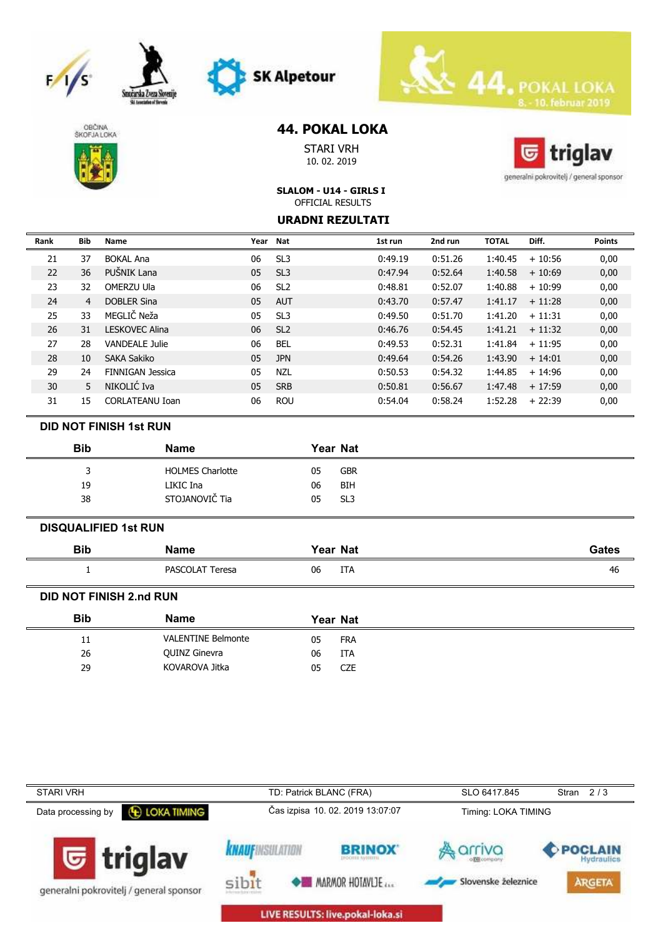







# **44. POKAL LOKA**

STARI VRH 10. 02. 2019



generalni pokrovitelj / general sponsor

### **SLALOM - U14 - GIRLS I** OFFICIAL RESULTS

### **URADNI REZULTATI**

| Rank | Bib | <b>Name</b>             |    | Year Nat        | 1st run | 2nd run | <b>TOTAL</b> | Diff.    | <b>Points</b> |
|------|-----|-------------------------|----|-----------------|---------|---------|--------------|----------|---------------|
| 21   | 37  | <b>BOKAL Ana</b>        | 06 | SL <sub>3</sub> | 0:49.19 | 0:51.26 | 1:40.45      | $+10:56$ | 0,00          |
| 22   | 36  | PUŚNIK Lana             | 05 | SL <sub>3</sub> | 0:47.94 | 0:52.64 | 1:40.58      | $+10:69$ | 0,00          |
| 23   | 32  | OMERZU Ula              | 06 | SL <sub>2</sub> | 0:48.81 | 0:52.07 | 1:40.88      | $+10:99$ | 0,00          |
| 24   | 4   | <b>DOBLER Sina</b>      | 05 | <b>AUT</b>      | 0:43.70 | 0:57.47 | 1:41.17      | $+11:28$ | 0,00          |
| 25   | 33  | MEGLIČ Neža             | 05 | SL <sub>3</sub> | 0:49.50 | 0:51.70 | 1:41.20      | $+11:31$ | 0,00          |
| 26   | 31  | LESKOVEC Alina          | 06 | SL <sub>2</sub> | 0:46.76 | 0:54.45 | 1:41.21      | $+11:32$ | 0,00          |
| 27   | 28  | <b>VANDEALE Julie</b>   | 06 | <b>BEL</b>      | 0:49.53 | 0:52.31 | 1:41.84      | $+11:95$ | 0,00          |
| 28   | 10  | SAKA Sakiko             | 05 | <b>JPN</b>      | 0:49.64 | 0:54.26 | 1:43.90      | $+14:01$ | 0,00          |
| 29   | 24  | <b>FINNIGAN Jessica</b> | 05 | <b>NZL</b>      | 0:50.53 | 0:54.32 | 1:44.85      | $+14:96$ | 0,00          |
| 30   | 5   | NIKOLIĆ Iva             | 05 | <b>SRB</b>      | 0:50.81 | 0:56.67 | 1:47.48      | $+17:59$ | 0,00          |
| 31   | 15  | CORLATEANU Ioan         | 06 | <b>ROU</b>      | 0:54.04 | 0:58.24 | 1:52.28      | $+22:39$ | 0,00          |

### **DID NOT FINISH 1st RUN**

| <b>Bib</b> | Name                    | <b>Year Nat</b>       |
|------------|-------------------------|-----------------------|
| ર          | <b>HOLMES Charlotte</b> | <b>GBR</b><br>05      |
| 19         | LIKIC Ina               | BIH<br>06             |
| 38         | STOJANOVIČ Tia          | SL <sub>3</sub><br>05 |
|            |                         |                       |

### **DISQUALIFIED 1st RUN**

| <b>Bib</b> | <b>Name</b>     | Year Nat  | Gates |
|------------|-----------------|-----------|-------|
|            | PASCOLAT Teresa | 06<br>ITA | 46    |

### **DID NOT FINISH 2.nd RUN**

|    | <b>Name</b>               |    | Year Nat   |
|----|---------------------------|----|------------|
| 11 | <b>VALENTINE Belmonte</b> | 05 | <b>FRA</b> |
| 26 | QUINZ Ginevra             | 06 | <b>ITA</b> |
| 29 | KOVAROVA Jitka            | 05 | <b>CZE</b> |

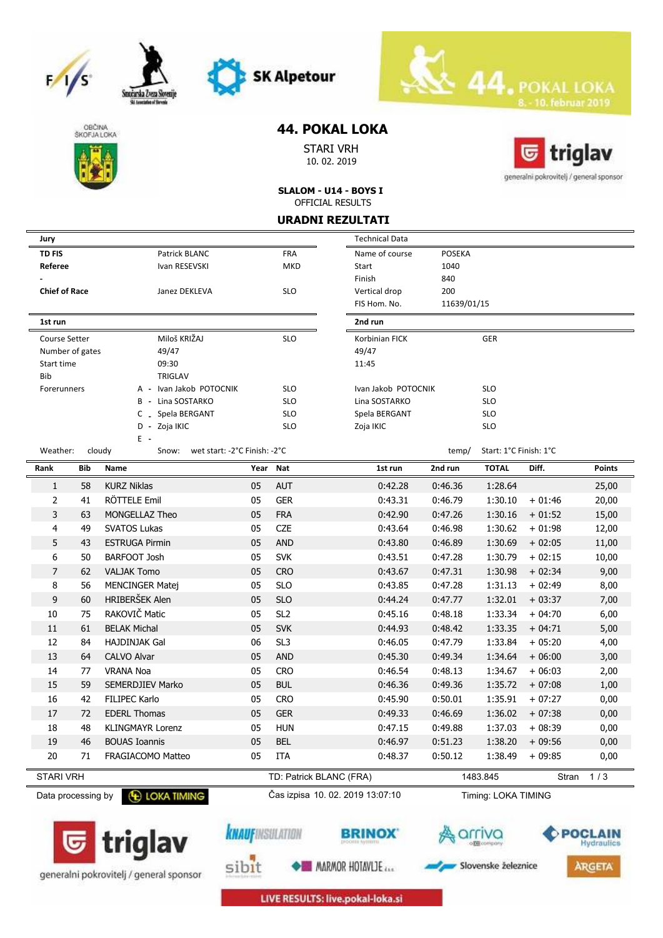







Smożarska Zveza S

# **44. POKAL LOKA**

STARI VRH 10. 02. 2019



**SLALOM - U14 - BOYS I** OFFICIAL RESULTS

#### **URADNI REZULTATI**

| Jury                 |     |                                                 |          |                         | <b>Technical Data</b>            |               |                        |          |                              |
|----------------------|-----|-------------------------------------------------|----------|-------------------------|----------------------------------|---------------|------------------------|----------|------------------------------|
| <b>TD FIS</b>        |     | Patrick BLANC                                   |          | <b>FRA</b>              | Name of course                   | <b>POSEKA</b> |                        |          |                              |
| Referee              |     | Ivan RESEVSKI                                   |          | <b>MKD</b>              | Start                            | 1040          |                        |          |                              |
|                      |     |                                                 |          |                         | Finish                           | 840           |                        |          |                              |
| <b>Chief of Race</b> |     | Janez DEKLEVA                                   |          | <b>SLO</b>              | Vertical drop                    | 200           |                        |          |                              |
|                      |     |                                                 |          | FIS Hom. No.            | 11639/01/15                      |               |                        |          |                              |
| 1st run              |     |                                                 |          |                         | 2nd run                          |               |                        |          |                              |
| <b>Course Setter</b> |     | Miloš KRIŽAJ                                    |          | <b>SLO</b>              | Korbinian FICK                   |               | GER                    |          |                              |
| Number of gates      |     | 49/47                                           |          |                         | 49/47                            |               |                        |          |                              |
| Start time           |     | 09:30                                           |          |                         | 11:45                            |               |                        |          |                              |
| Bib                  |     | TRIGLAV                                         |          |                         |                                  |               |                        |          |                              |
| Forerunners          |     | A - Ivan Jakob POTOCNIK                         |          | <b>SLO</b>              | Ivan Jakob POTOCNIK              |               | <b>SLO</b>             |          |                              |
|                      |     | B - Lina SOSTARKO                               |          | <b>SLO</b>              | Lina SOSTARKO                    |               | <b>SLO</b>             |          |                              |
|                      |     | C _ Spela BERGANT                               |          | <b>SLO</b>              | Spela BERGANT                    |               | <b>SLO</b>             |          |                              |
|                      |     | D - Zoja IKIC<br>$E -$                          |          | <b>SLO</b>              | Zoja IKIC                        |               | <b>SLO</b>             |          |                              |
| Weather:             |     | cloudy<br>Snow:<br>wet start: -2°C Finish: -2°C |          |                         |                                  | temp/         | Start: 1°C Finish: 1°C |          |                              |
| Rank                 | Bib | Name                                            | Year Nat |                         | 1st run                          | 2nd run       | <b>TOTAL</b>           | Diff.    | <b>Points</b>                |
| $\mathbf{1}$         | 58  | <b>KURZ Niklas</b>                              | 05       | <b>AUT</b>              | 0:42.28                          | 0:46.36       | 1:28.64                |          | 25,00                        |
| $\overline{2}$       | 41  | RÖTTELE Emil                                    | 05       | <b>GER</b>              | 0:43.31                          | 0:46.79       | 1:30.10                | $+01:46$ | 20,00                        |
| 3                    | 63  | MONGELLAZ Theo                                  | 05       | <b>FRA</b>              | 0:42.90                          | 0:47.26       | 1:30.16                | $+01:52$ | 15,00                        |
| $\overline{4}$       | 49  | <b>SVATOS Lukas</b>                             | 05       | <b>CZE</b>              | 0:43.64                          | 0:46.98       | 1:30.62                | $+01:98$ | 12,00                        |
| 5                    | 43  | <b>ESTRUGA Pirmin</b>                           | 05       | <b>AND</b>              | 0:43.80                          | 0:46.89       | 1:30.69                | $+02:05$ | 11,00                        |
| 6                    | 50  | <b>BARFOOT Josh</b>                             | 05       | <b>SVK</b>              | 0:43.51                          | 0:47.28       | 1:30.79                | $+02:15$ | 10,00                        |
| $\overline{7}$       | 62  | <b>VALJAK Tomo</b>                              | 05       | <b>CRO</b>              | 0:43.67                          | 0:47.31       | 1:30.98                | $+02:34$ | 9,00                         |
| 8                    | 56  | <b>MENCINGER Matej</b>                          | 05       | <b>SLO</b>              | 0:43.85                          | 0:47.28       | 1:31.13                | $+02:49$ | 8,00                         |
| 9                    | 60  | HRIBERŠEK Alen                                  | 05       | <b>SLO</b>              | 0:44.24                          | 0:47.77       | 1:32.01                | $+03:37$ | 7,00                         |
| 10                   | 75  | RAKOVIČ Matic                                   | 05       | SL <sub>2</sub>         | 0:45.16                          | 0:48.18       | 1:33.34                | $+04:70$ | 6,00                         |
| 11                   | 61  | <b>BELAK Michal</b>                             | 05       | <b>SVK</b>              | 0:44.93                          | 0:48.42       | 1:33.35                | $+04:71$ | 5,00                         |
| 12                   | 84  | <b>HAJDINJAK Gal</b>                            | 06       | SL <sub>3</sub>         | 0:46.05                          | 0:47.79       | 1:33.84                | $+05:20$ | 4,00                         |
| 13                   | 64  | CALVO Alvar                                     | 05       | <b>AND</b>              | 0:45.30                          | 0:49.34       | 1:34.64                | $+06:00$ | 3,00                         |
| 14                   | 77  | <b>VRANA Noa</b>                                | 05       | <b>CRO</b>              | 0:46.54                          | 0:48.13       | 1:34.67                | $+06:03$ | 2,00                         |
| 15                   | 59  | SEMERDJIEV Marko                                | 05       | <b>BUL</b>              | 0:46.36                          | 0:49.36       | 1:35.72                | $+07:08$ | 1,00                         |
| 16                   | 42  | <b>FILIPEC Karlo</b>                            | 05       | <b>CRO</b>              | 0:45.90                          | 0:50.01       | 1:35.91                | $+07:27$ | 0,00                         |
| 17                   | 72  | <b>EDERL Thomas</b>                             | 05       | <b>GER</b>              | 0:49.33                          | 0:46.69       | 1:36.02                | $+07:38$ | 0,00                         |
| 18                   | 48  | <b>KLINGMAYR Lorenz</b>                         | 05       | <b>HUN</b>              | 0:47.15                          | 0:49.88       | 1:37.03                | $+08:39$ | 0,00                         |
| 19                   | 46  | <b>BOUAS Ioannis</b>                            | 05       | <b>BEL</b>              | 0:46.97                          | 0:51.23       | 1:38.20                | $+09:56$ | 0,00                         |
| 20                   | 71  | FRAGIACOMO Matteo                               | 05       | ITA                     | 0:48.37                          | 0:50.12       | 1:38.49                | $+09:85$ | 0,00                         |
| <b>STARI VRH</b>     |     |                                                 |          | TD: Patrick BLANC (FRA) |                                  |               | 1483.845               | Stran    | 1/3                          |
| Data processing by   |     | <b>E LOKA TIMING</b>                            |          |                         | Čas izpisa 10. 02. 2019 13:07:10 |               | Timing: LOKA TIMING    |          |                              |
|                      |     | triglav                                         |          | <b>KNAUFINSULATION</b>  |                                  |               |                        |          | POCLAIN<br><b>Hydraulics</b> |

generalni pokrovitelj / general sponsor



**MARMOR HOTAVLIE** 

Slovenske železnice

**ARGETA** 

sibit